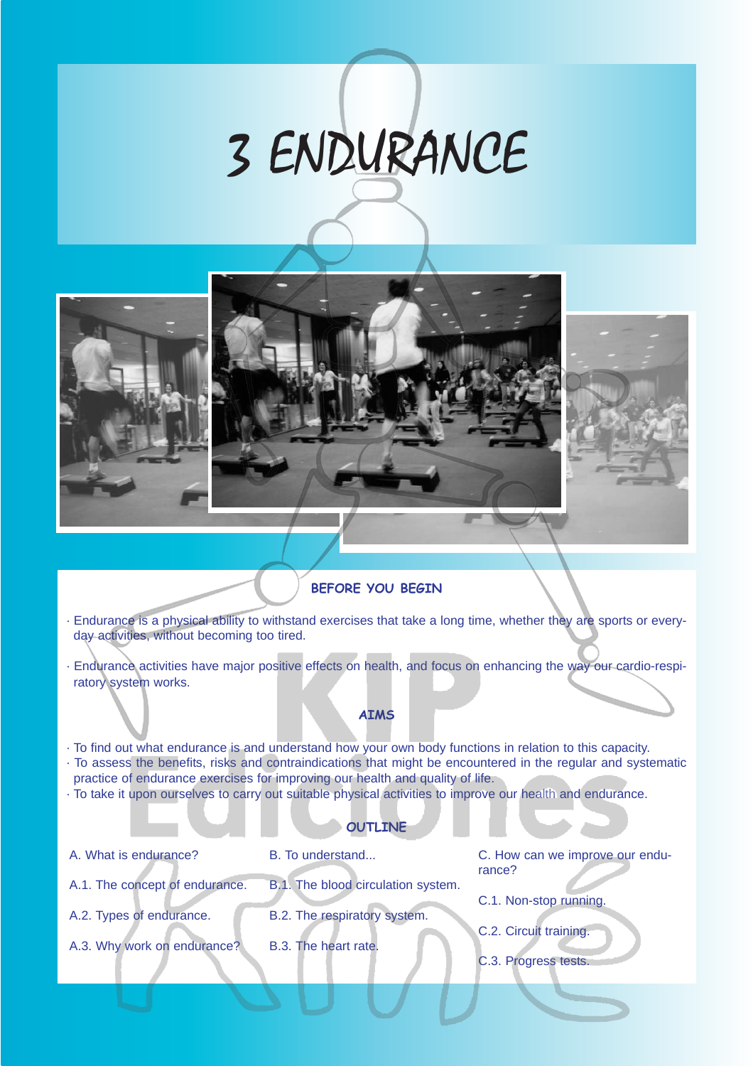# 3 ENDURANCE



# **BEFORE YOU BEGIN**

- · Endurance is a physical ability to withstand exercises that take a long time, whether they are sports or everyday activities, without becoming too tired.
- · Endurance activities have major positive effects on health, and focus on enhancing the way our cardio-respiratory system works.

# **AIMS**

· To find out what endurance is and understand how your own body functions in relation to this capacity.

· To assess the benefits, risks and contraindications that might be encountered in the regular and systematic practice of endurance exercises for improving our health and quality of life.

· To take it upon ourselves to carry out suitable physical activities to improve our health and endurance.

# **OUTLINE**

A. What is endurance?

B. To understand...

A.1. The concept of endurance.

B.1. The blood circulation system.

A.2. Types of endurance.

B.2. The respiratory system.

C. How can we improve our endurance?

C.1. Non-stop running.

- C.2. Circuit training.
- C.3. Progress tests.

B.3. The heart rate. A.3. Why work on endurance?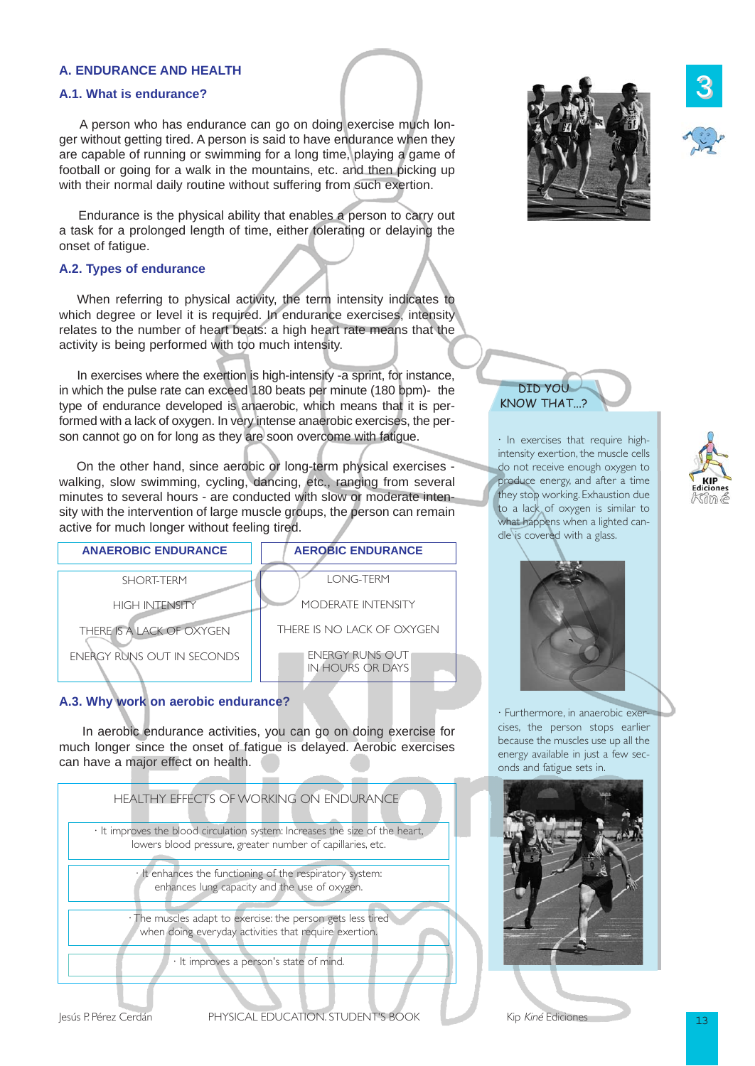# **A. ENDURANCE AND HEALTH**

### **A.1. What is endurance?**

A person who has endurance can go on doing exercise much longer without getting tired. A person is said to have endurance when they are capable of running or swimming for a long time, playing a game of football or going for a walk in the mountains, etc. and then picking up with their normal daily routine without suffering from such exertion.

Endurance is the physical ability that enables a person to carry out a task for a prolonged length of time, either tolerating or delaying the onset of fatigue.

# **A.2. Types of endurance**

When referring to physical activity, the term intensity indicates to which degree or level it is required. In endurance exercises, intensity relates to the number of heart beats: a high heart rate means that the activity is being performed with too much intensity.

In exercises where the exertion is high-intensity -a sprint, for instance, in which the pulse rate can exceed 180 beats per minute (180 bpm)- the type of endurance developed is anaerobic, which means that it is performed with a lack of oxygen. In very intense anaerobic exercises, the person cannot go on for long as they are soon overcome with fatigue.

On the other hand, since aerobic or long-term physical exercises walking, slow swimming, cycling, dancing, etc., ranging from several minutes to several hours - are conducted with slow or moderate intensity with the intervention of large muscle groups, the person can remain active for much longer without feeling tired.



# **A.3. Why work on aerobic endurance?**

In aerobic endurance activities, you can go on doing exercise for much longer since the onset of fatigue is delayed. Aerobic exercises can have a major effect on health.







3

# DID YOU KNOW THAT...?

· In exercises that require highintensity exertion, the muscle cells do not receive enough oxygen to produce energy, and after a time they stop working. Exhaustion due to a lack of oxygen is similar to what happens when a lighted candle is covered with a glass.





· Furthermore, in anaerobic exercises, the person stops earlier because the muscles use up all the energy available in just a few seconds and fatigue sets in.

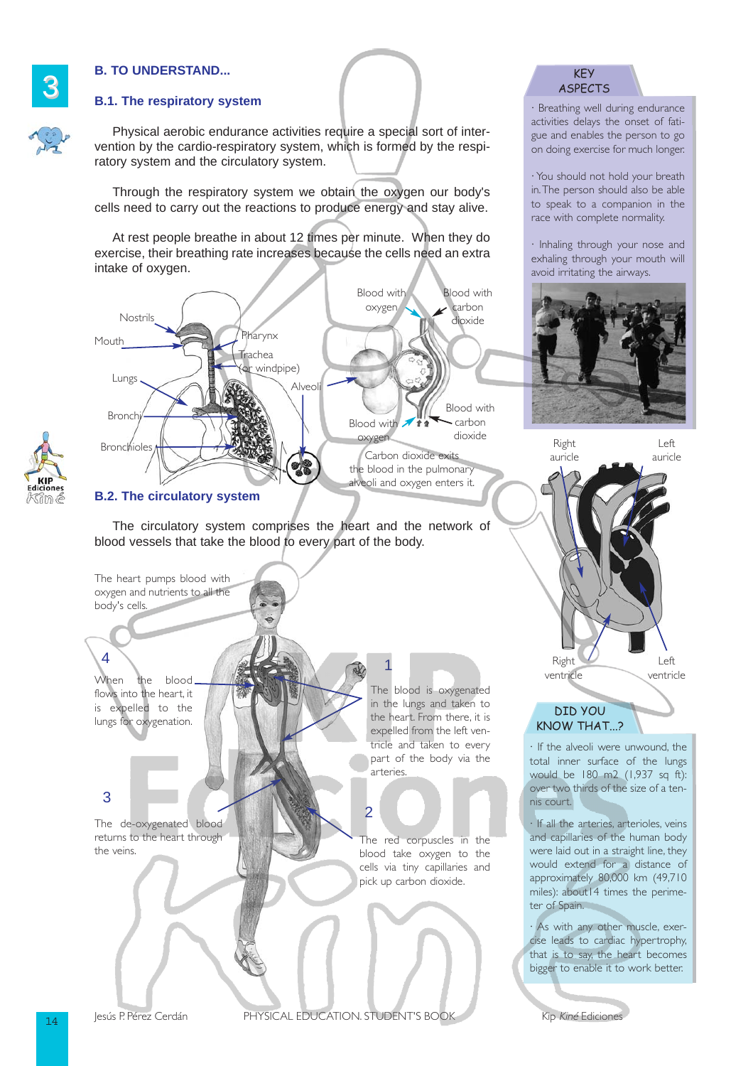# **B. TO UNDERSTAND...**

# **B.1. The respiratory system**

Physical aerobic endurance activities require a special sort of intervention by the cardio-respiratory system, which is formed by the respiratory system and the circulatory system.

Through the respiratory system we obtain the oxygen our body's cells need to carry out the reactions to produce energy and stay alive.

At rest people breathe in about 12 times per minute. When they do exercise, their breathing rate increases because the cells need an extra intake of oxygen.





# **B.2. The circulatory system**

The circulatory system comprises the heart and the network of blood vessels that take the blood to every part of the body.



When the blood flows into the heart, it is expelled to the lungs for oxygenation.

# 3

The de-oxygenated blood returns to the heart through the veins.

The blood is oxygenated in the lungs and taken to the heart. From there, it is expelled from the left ventricle and taken to every part of the body via the arteries.

1

2

The red corpuscles in the blood take oxygen to the cells via tiny capillaries and pick up carbon dioxide.



· Breathing well during endurance activities delays the onset of fatigue and enables the person to go on doing exercise for much longer.

· You should not hold your breath in.The person should also be able to speak to a companion in the race with complete normality.

· Inhaling through your nose and exhaling through your mouth will avoid irritating the airways.





· If the alveoli were unwound, the total inner surface of the lungs would be 180 m2 (1,937 sq ft): over two thirds of the size of a tennis court.

· If all the arteries, arterioles, veins and capillaries of the human body were laid out in a straight line, they would extend for a distance of approximately 80,000 km (49,710 miles): about14 times the perimeter of Spain.

· As with any other muscle, exercise leads to cardiac hypertrophy, that is to say, the heart becomes bigger to enable it to work better.

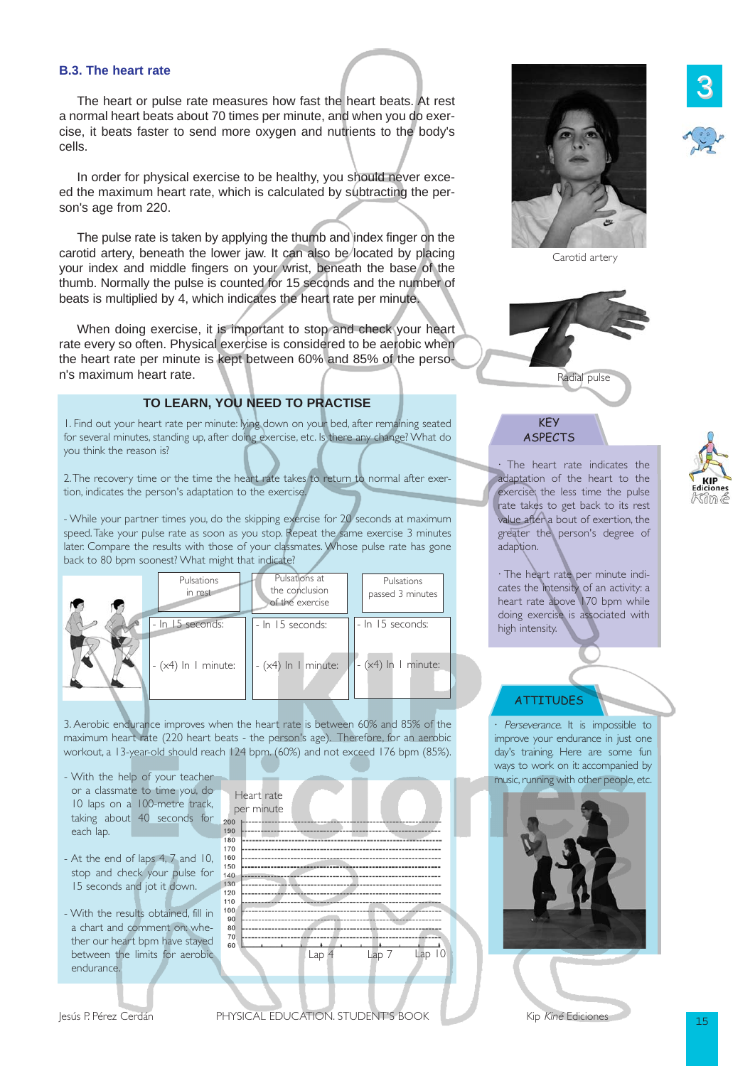# **B.3. The heart rate**

The heart or pulse rate measures how fast the heart beats. At rest a normal heart beats about 70 times per minute, and when you do exercise, it beats faster to send more oxygen and nutrients to the body's cells.

In order for physical exercise to be healthy, you should never exceed the maximum heart rate, which is calculated by subtracting the person's age from 220.

The pulse rate is taken by applying the thumb and index finger on the carotid artery, beneath the lower jaw. It can also be located by placing your index and middle fingers on your wrist, beneath the base of the thumb. Normally the pulse is counted for 15 seconds and the number of beats is multiplied by 4, which indicates the heart rate per minute.

When doing exercise, it is important to stop and check your heart rate every so often. Physical exercise is considered to be aerobic when the heart rate per minute is kept between 60% and 85% of the person's maximum heart rate.

# **TO LEARN, YOU NEED TO PRACTISE**

1. Find out your heart rate per minute: lying down on your bed, after remaining seated for several minutes, standing up, after doing exercise, etc. Is there any change? What do you think the reason is?

2.The recovery time or the time the heart rate takes to return to normal after exertion, indicates the person's adaptation to the exercise.

- While your partner times you, do the skipping exercise for 20 seconds at maximum speed.Take your pulse rate as soon as you stop. Repeat the same exercise 3 minutes later. Compare the results with those of your classmates. Whose pulse rate has gone back to 80 bpm soonest? What might that indicate?

| Pulsations<br>in rest | Pulsations at<br>the conclusion<br>of the exercise | <b>Pulsations</b><br>passed 3 minutes           |
|-----------------------|----------------------------------------------------|-------------------------------------------------|
| - In 15 seconds:      | - In 15 seconds:                                   | - In 15 seconds:                                |
| $- (x4)$ In 1 minute: | $- (x4)$ In 1 minute:                              | $(x4)$ In I minute:<br>$\overline{\phantom{a}}$ |

3. Aerobic endurance improves when the heart rate is between 60% and 85% of the maximum heart rate (220 heart beats - the person's age). Therefore, for an aerobic workout, a 13-year-old should reach 124 bpm. (60%) and not exceed 176 bpm (85%).

- With the help of your teacher or a classmate to time you, do 10 laps on a 100-metre track, taking about 40 seconds for each lap.
- At the end of laps 4, 7 and 10, stop and check your pulse for 15 seconds and jot it down.
- With the results obtained, fill in a chart and comment on: whether our heart bpm have stayed between the limits for aerobic endurance.

|     | Heart rate |                 |         |     |
|-----|------------|-----------------|---------|-----|
|     |            |                 |         |     |
|     | per minute |                 |         |     |
| 200 |            |                 |         |     |
| 190 |            |                 |         |     |
| 180 |            |                 |         |     |
| 170 |            |                 |         |     |
| 160 |            |                 |         |     |
| 150 |            |                 |         |     |
| 140 |            |                 |         |     |
| 130 |            |                 |         |     |
| 120 |            |                 |         |     |
| 110 |            |                 |         |     |
| 100 |            |                 |         |     |
| 90  |            |                 |         |     |
| 80  |            |                 |         |     |
| 70  |            |                 |         |     |
| 60  |            |                 |         |     |
|     |            |                 |         | 10  |
|     |            | La <sub>F</sub> | $Lap$ 7 | Lap |
|     |            |                 |         |     |







## KEY ASPECTS

The heart rate indicates the adaptation of the heart to the exercise: the less time the pulse rate takes to get back to its rest value after a bout of exertion, the greater the person's degree of adaption.

· The heart rate per minute indicates the intensity of an activity: a heart rate above 170 bpm while doing exercise is associated with high intensity.

# **ATTITUDES**

Perseverance. It is impossible to improve your endurance in just one day's training. Here are some fun ways to work on it: accompanied by music, running with other people, etc.



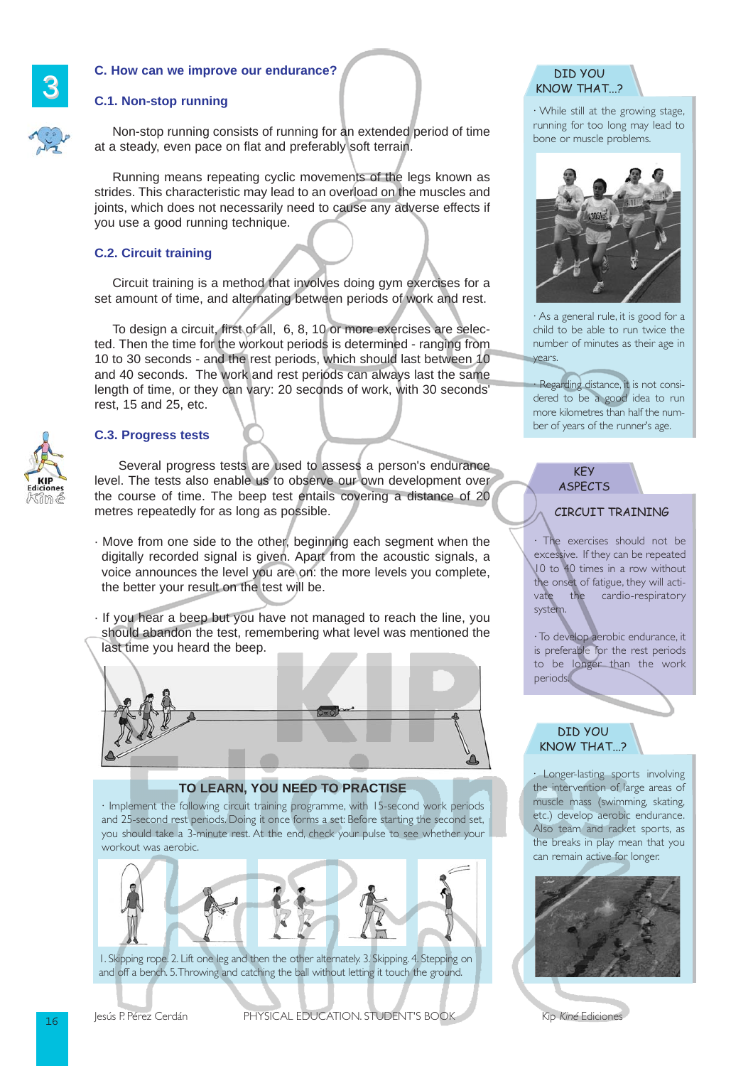

# **C. How can we improve our endurance?**  3 DID YOU<br>3 C.1 Non-stop running<br>C.1 Non-stop running

# **C.1. Non-stop running**



Non-stop running consists of running for an extended period of time at a steady, even pace on flat and preferably soft terrain.

Running means repeating cyclic movements of the legs known as strides. This characteristic may lead to an overload on the muscles and joints, which does not necessarily need to cause any adverse effects if you use a good running technique.

# **C.2. Circuit training**

Circuit training is a method that involves doing gym exercises for a set amount of time, and alternating between periods of work and rest.

To design a circuit, first of all, 6, 8, 10 or more exercises are selected. Then the time for the workout periods is determined - ranging from 10 to 30 seconds - and the rest periods, which should last between 10 and 40 seconds. The work and rest periods can always last the same length of time, or they can vary: 20 seconds of work, with 30 seconds' rest, 15 and 25, etc.



# **C.3. Progress tests**

Several progress tests are used to assess a person's endurance level. The tests also enable us to observe our own development over the course of time. The beep test entails covering a distance of 20 metres repeatedly for as long as possible.

- · Move from one side to the other, beginning each segment when the digitally recorded signal is given. Apart from the acoustic signals, a voice announces the level you are on: the more levels you complete, the better your result on the test will be.
- · If you hear a beep but you have not managed to reach the line, you should abandon the test, remembering what level was mentioned the last time you heard the beep.



# **TO LEARN, YOU NEED TO PRACTISE**

· Implement the following circuit training programme, with 15-second work periods and 25-second rest periods. Doing it once forms a set: Before starting the second set, you should take a 3-minute rest. At the end, check your pulse to see whether your workout was aerobic.



1. Skipping rope. 2. Lift one leg and then the other alternately. 3. Skipping. 4. Stepping on and off a bench. 5.Throwing and catching the ball without letting it touch the ground.

Jesús P. Pérez Cerdán PHYSICAL EDUCATION. STUDENT'S BOOK Kip Kiné Ediciones



· While still at the growing stage, running for too long may lead to bone or muscle problems.



· As a general rule, it is good for a child to be able to run twice the number of minutes as their age in years.

Regarding distance, it is not considered to be a good idea to run more kilometres than half the number of years of the runner's age.

# **KEY** ASPECTS

# CIRCUIT TRAINING

The exercises should not be excessive. If they can be repeated 10 to 40 times in a row without the onset of fatigue, they will activate the cardio-respiratory system.

· To develop aerobic endurance, it is preferable for the rest periods to be longer than the work periods.

# DID YOU KNOW THAT...?

· Longer-lasting sports involving the intervention of large areas of muscle mass (swimming, skating, etc.) develop aerobic endurance. Also team and racket sports, as the breaks in play mean that you can remain active for longer.